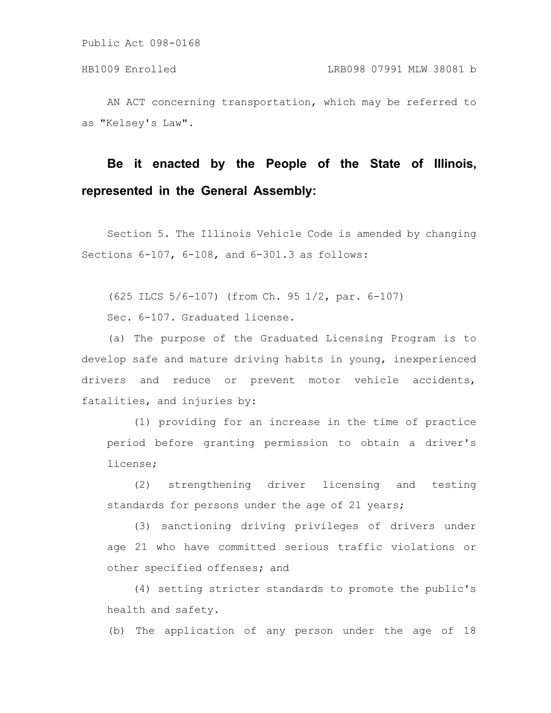AN ACT concerning transportation, which may be referred to as "Kelsey's Law".

# **Be it enacted by the People of the State of Illinois, represented in the General Assembly:**

Section 5. The Illinois Vehicle Code is amended by changing Sections 6-107, 6-108, and 6-301.3 as follows:

(625 ILCS 5/6-107) (from Ch. 95 1/2, par. 6-107)

Sec. 6-107. Graduated license.

(a) The purpose of the Graduated Licensing Program is to develop safe and mature driving habits in young, inexperienced drivers and reduce or prevent motor vehicle accidents, fatalities, and injuries by:

(1) providing for an increase in the time of practice period before granting permission to obtain a driver's license;

(2) strengthening driver licensing and testing standards for persons under the age of 21 years;

(3) sanctioning driving privileges of drivers under age 21 who have committed serious traffic violations or other specified offenses; and

(4) setting stricter standards to promote the public's health and safety.

(b) The application of any person under the age of 18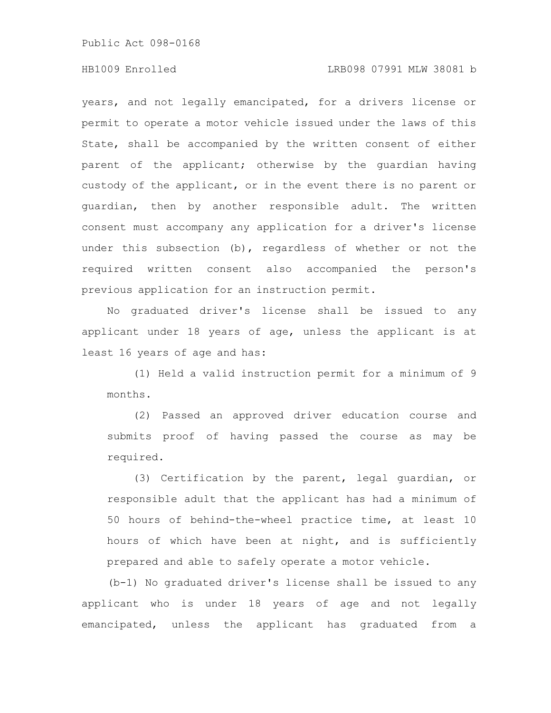## HB1009 Enrolled LRB098 07991 MLW 38081 b

years, and not legally emancipated, for a drivers license or permit to operate a motor vehicle issued under the laws of this State, shall be accompanied by the written consent of either parent of the applicant; otherwise by the guardian having custody of the applicant, or in the event there is no parent or guardian, then by another responsible adult. The written consent must accompany any application for a driver's license under this subsection (b), regardless of whether or not the required written consent also accompanied the person's previous application for an instruction permit.

No graduated driver's license shall be issued to any applicant under 18 years of age, unless the applicant is at least 16 years of age and has:

(1) Held a valid instruction permit for a minimum of 9 months.

(2) Passed an approved driver education course and submits proof of having passed the course as may be required.

(3) Certification by the parent, legal guardian, or responsible adult that the applicant has had a minimum of 50 hours of behind-the-wheel practice time, at least 10 hours of which have been at night, and is sufficiently prepared and able to safely operate a motor vehicle.

(b-1) No graduated driver's license shall be issued to any applicant who is under 18 years of age and not legally emancipated, unless the applicant has graduated from a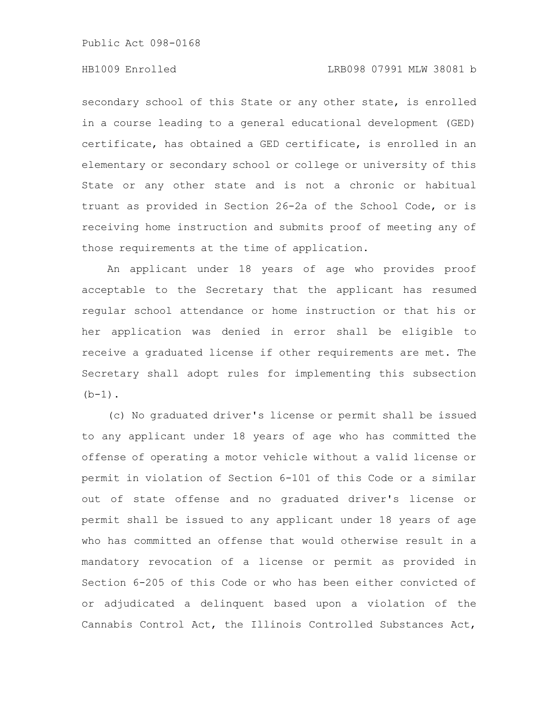#### HB1009 Enrolled LRB098 07991 MLW 38081 b

secondary school of this State or any other state, is enrolled in a course leading to a general educational development (GED) certificate, has obtained a GED certificate, is enrolled in an elementary or secondary school or college or university of this State or any other state and is not a chronic or habitual truant as provided in Section 26-2a of the School Code, or is receiving home instruction and submits proof of meeting any of those requirements at the time of application.

An applicant under 18 years of age who provides proof acceptable to the Secretary that the applicant has resumed regular school attendance or home instruction or that his or her application was denied in error shall be eligible to receive a graduated license if other requirements are met. The Secretary shall adopt rules for implementing this subsection  $(b-1)$ .

(c) No graduated driver's license or permit shall be issued to any applicant under 18 years of age who has committed the offense of operating a motor vehicle without a valid license or permit in violation of Section 6-101 of this Code or a similar out of state offense and no graduated driver's license or permit shall be issued to any applicant under 18 years of age who has committed an offense that would otherwise result in a mandatory revocation of a license or permit as provided in Section 6-205 of this Code or who has been either convicted of or adjudicated a delinquent based upon a violation of the Cannabis Control Act, the Illinois Controlled Substances Act,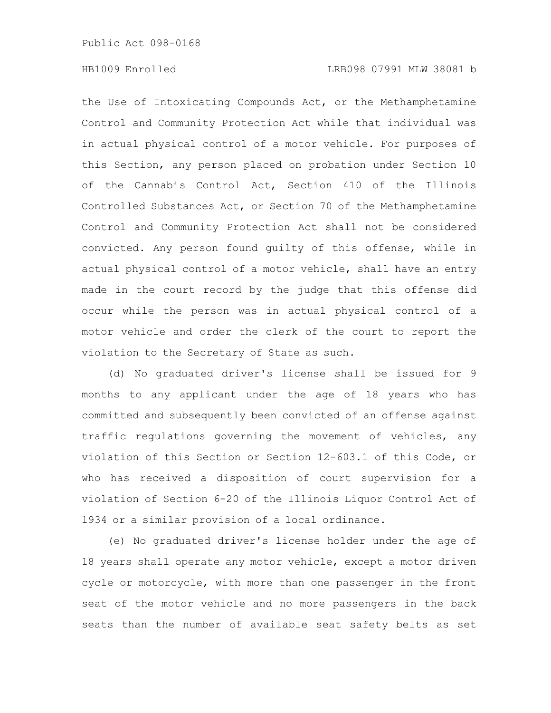the Use of Intoxicating Compounds Act, or the Methamphetamine Control and Community Protection Act while that individual was in actual physical control of a motor vehicle. For purposes of this Section, any person placed on probation under Section 10 of the Cannabis Control Act, Section 410 of the Illinois Controlled Substances Act, or Section 70 of the Methamphetamine Control and Community Protection Act shall not be considered convicted. Any person found guilty of this offense, while in actual physical control of a motor vehicle, shall have an entry made in the court record by the judge that this offense did occur while the person was in actual physical control of a motor vehicle and order the clerk of the court to report the violation to the Secretary of State as such.

(d) No graduated driver's license shall be issued for 9 months to any applicant under the age of 18 years who has committed and subsequently been convicted of an offense against traffic regulations governing the movement of vehicles, any violation of this Section or Section 12-603.1 of this Code, or who has received a disposition of court supervision for a violation of Section 6-20 of the Illinois Liquor Control Act of 1934 or a similar provision of a local ordinance.

(e) No graduated driver's license holder under the age of 18 years shall operate any motor vehicle, except a motor driven cycle or motorcycle, with more than one passenger in the front seat of the motor vehicle and no more passengers in the back seats than the number of available seat safety belts as set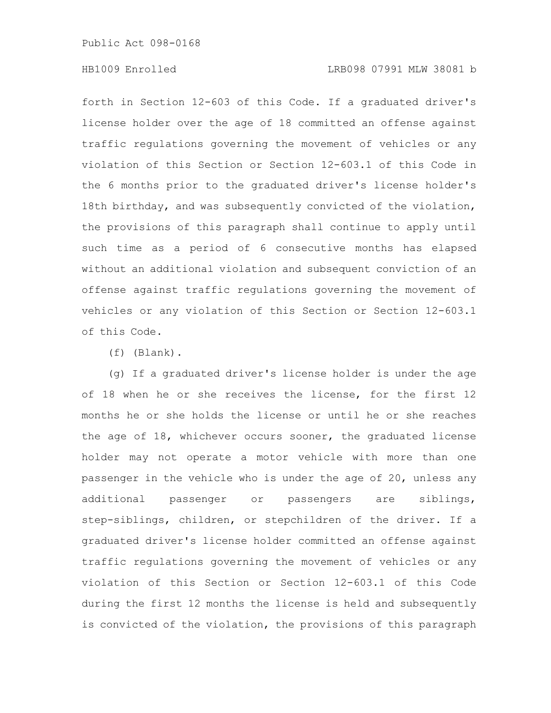### HB1009 Enrolled LRB098 07991 MLW 38081 b

forth in Section 12-603 of this Code. If a graduated driver's license holder over the age of 18 committed an offense against traffic regulations governing the movement of vehicles or any violation of this Section or Section 12-603.1 of this Code in the 6 months prior to the graduated driver's license holder's 18th birthday, and was subsequently convicted of the violation, the provisions of this paragraph shall continue to apply until such time as a period of 6 consecutive months has elapsed without an additional violation and subsequent conviction of an offense against traffic regulations governing the movement of vehicles or any violation of this Section or Section 12-603.1 of this Code.

(f) (Blank).

(g) If a graduated driver's license holder is under the age of 18 when he or she receives the license, for the first 12 months he or she holds the license or until he or she reaches the age of 18, whichever occurs sooner, the graduated license holder may not operate a motor vehicle with more than one passenger in the vehicle who is under the age of 20, unless any additional passenger or passengers are siblings, step-siblings, children, or stepchildren of the driver. If a graduated driver's license holder committed an offense against traffic regulations governing the movement of vehicles or any violation of this Section or Section 12-603.1 of this Code during the first 12 months the license is held and subsequently is convicted of the violation, the provisions of this paragraph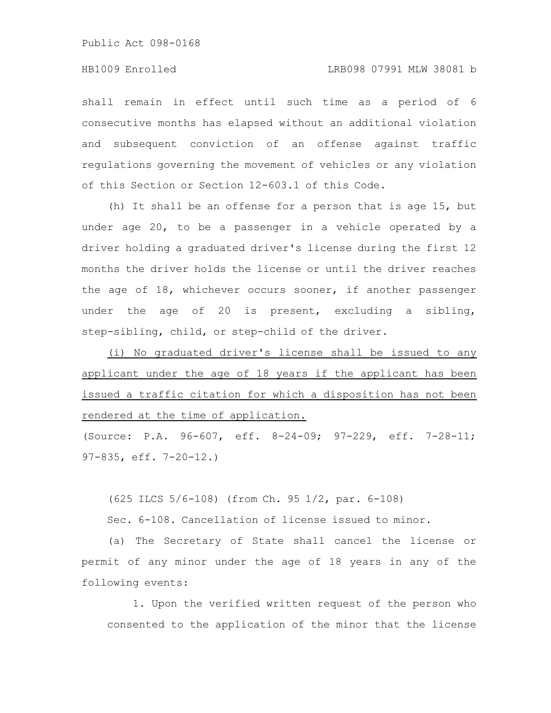shall remain in effect until such time as a period of 6 consecutive months has elapsed without an additional violation and subsequent conviction of an offense against traffic regulations governing the movement of vehicles or any violation of this Section or Section 12-603.1 of this Code.

(h) It shall be an offense for a person that is age 15, but under age 20, to be a passenger in a vehicle operated by a driver holding a graduated driver's license during the first 12 months the driver holds the license or until the driver reaches the age of 18, whichever occurs sooner, if another passenger under the age of 20 is present, excluding a sibling, step-sibling, child, or step-child of the driver.

(i) No graduated driver's license shall be issued to any applicant under the age of 18 years if the applicant has been issued a traffic citation for which a disposition has not been rendered at the time of application.

(Source: P.A. 96-607, eff. 8-24-09; 97-229, eff. 7-28-11; 97-835, eff. 7-20-12.)

(625 ILCS 5/6-108) (from Ch. 95 1/2, par. 6-108)

Sec. 6-108. Cancellation of license issued to minor.

(a) The Secretary of State shall cancel the license or permit of any minor under the age of 18 years in any of the following events:

1. Upon the verified written request of the person who consented to the application of the minor that the license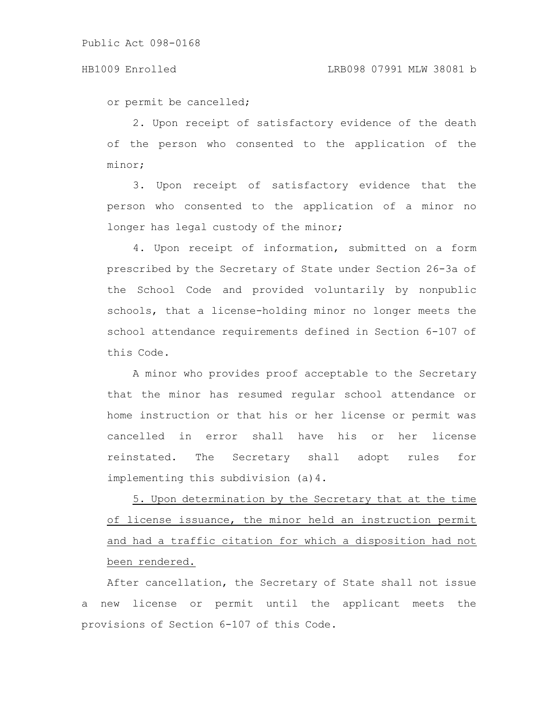or permit be cancelled;

2. Upon receipt of satisfactory evidence of the death of the person who consented to the application of the minor;

3. Upon receipt of satisfactory evidence that the person who consented to the application of a minor no longer has legal custody of the minor;

4. Upon receipt of information, submitted on a form prescribed by the Secretary of State under Section 26-3a of the School Code and provided voluntarily by nonpublic schools, that a license-holding minor no longer meets the school attendance requirements defined in Section 6-107 of this Code.

A minor who provides proof acceptable to the Secretary that the minor has resumed regular school attendance or home instruction or that his or her license or permit was cancelled in error shall have his or her license reinstated. The Secretary shall adopt rules for implementing this subdivision (a)4.

5. Upon determination by the Secretary that at the time of license issuance, the minor held an instruction permit and had a traffic citation for which a disposition had not been rendered.

After cancellation, the Secretary of State shall not issue a new license or permit until the applicant meets the provisions of Section 6-107 of this Code.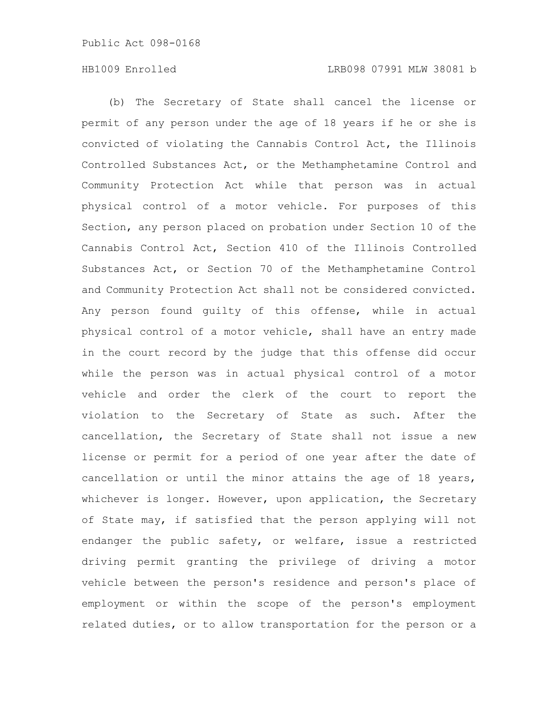(b) The Secretary of State shall cancel the license or permit of any person under the age of 18 years if he or she is convicted of violating the Cannabis Control Act, the Illinois Controlled Substances Act, or the Methamphetamine Control and Community Protection Act while that person was in actual physical control of a motor vehicle. For purposes of this Section, any person placed on probation under Section 10 of the Cannabis Control Act, Section 410 of the Illinois Controlled Substances Act, or Section 70 of the Methamphetamine Control and Community Protection Act shall not be considered convicted. Any person found guilty of this offense, while in actual physical control of a motor vehicle, shall have an entry made in the court record by the judge that this offense did occur while the person was in actual physical control of a motor vehicle and order the clerk of the court to report the violation to the Secretary of State as such. After the cancellation, the Secretary of State shall not issue a new license or permit for a period of one year after the date of cancellation or until the minor attains the age of 18 years, whichever is longer. However, upon application, the Secretary of State may, if satisfied that the person applying will not endanger the public safety, or welfare, issue a restricted driving permit granting the privilege of driving a motor vehicle between the person's residence and person's place of employment or within the scope of the person's employment related duties, or to allow transportation for the person or a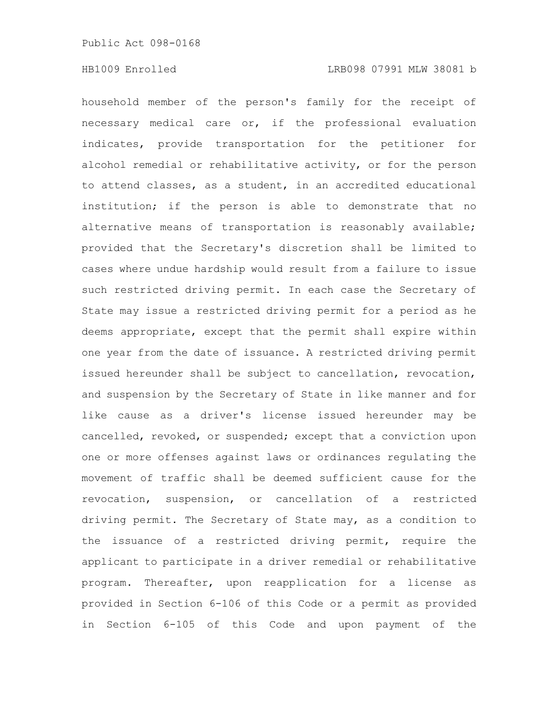household member of the person's family for the receipt of necessary medical care or, if the professional evaluation indicates, provide transportation for the petitioner for alcohol remedial or rehabilitative activity, or for the person to attend classes, as a student, in an accredited educational institution; if the person is able to demonstrate that no alternative means of transportation is reasonably available; provided that the Secretary's discretion shall be limited to cases where undue hardship would result from a failure to issue such restricted driving permit. In each case the Secretary of State may issue a restricted driving permit for a period as he deems appropriate, except that the permit shall expire within one year from the date of issuance. A restricted driving permit issued hereunder shall be subject to cancellation, revocation, and suspension by the Secretary of State in like manner and for like cause as a driver's license issued hereunder may be cancelled, revoked, or suspended; except that a conviction upon one or more offenses against laws or ordinances regulating the movement of traffic shall be deemed sufficient cause for the revocation, suspension, or cancellation of a restricted driving permit. The Secretary of State may, as a condition to the issuance of a restricted driving permit, require the applicant to participate in a driver remedial or rehabilitative program. Thereafter, upon reapplication for a license as provided in Section 6-106 of this Code or a permit as provided in Section 6-105 of this Code and upon payment of the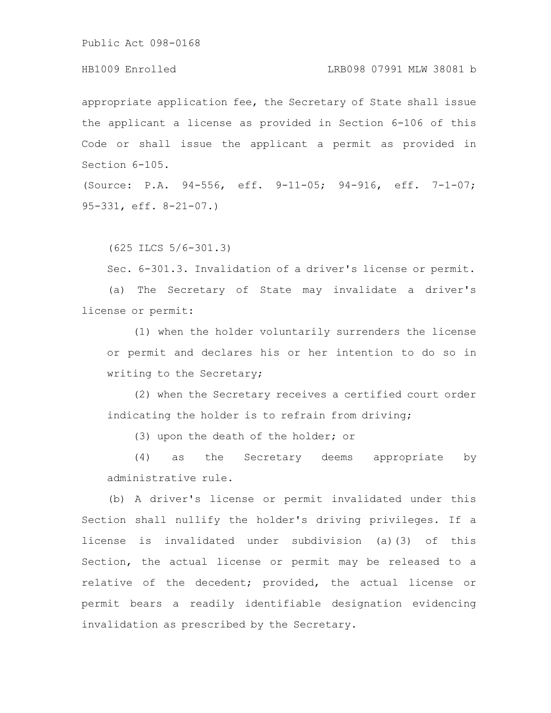#### HB1009 Enrolled LRB098 07991 MLW 38081 b

appropriate application fee, the Secretary of State shall issue the applicant a license as provided in Section 6-106 of this Code or shall issue the applicant a permit as provided in Section 6-105.

(Source: P.A. 94-556, eff. 9-11-05; 94-916, eff. 7-1-07; 95-331, eff. 8-21-07.)

(625 ILCS 5/6-301.3)

Sec. 6-301.3. Invalidation of a driver's license or permit.

(a) The Secretary of State may invalidate a driver's license or permit:

(1) when the holder voluntarily surrenders the license or permit and declares his or her intention to do so in writing to the Secretary;

(2) when the Secretary receives a certified court order indicating the holder is to refrain from driving;

(3) upon the death of the holder; or

(4) as the Secretary deems appropriate by administrative rule.

(b) A driver's license or permit invalidated under this Section shall nullify the holder's driving privileges. If a license is invalidated under subdivision (a)(3) of this Section, the actual license or permit may be released to a relative of the decedent; provided, the actual license or permit bears a readily identifiable designation evidencing invalidation as prescribed by the Secretary.